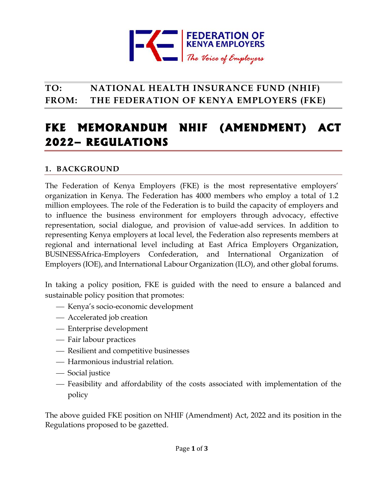

## **TO: NATIONAL HEALTH INSURANCE FUND (NHIF) FROM: THE FEDERATION OF KENYA EMPLOYERS (FKE)**

# **FKE MEMORANDUM NHIF (AMENDMENT) ACT 2022– REGULATIONS**

### **1. BACKGROUND**

The Federation of Kenya Employers (FKE) is the most representative employers' organization in Kenya. The Federation has 4000 members who employ a total of 1.2 million employees. The role of the Federation is to build the capacity of employers and to influence the business environment for employers through advocacy, effective representation, social dialogue, and provision of value-add services. In addition to representing Kenya employers at local level, the Federation also represents members at regional and international level including at East Africa Employers Organization, BUSINESSAfrica-Employers Confederation, and International Organization of Employers (IOE), and International Labour Organization (ILO), and other global forums.

In taking a policy position, FKE is guided with the need to ensure a balanced and sustainable policy position that promotes:

- ⎯ Kenya's socio-economic development
- Accelerated job creation
- ⎯ Enterprise development
- Fair labour practices
- ⎯ Resilient and competitive businesses
- ⎯ Harmonious industrial relation.
- Social justice
- ⎯ Feasibility and affordability of the costs associated with implementation of the policy

The above guided FKE position on NHIF (Amendment) Act, 2022 and its position in the Regulations proposed to be gazetted.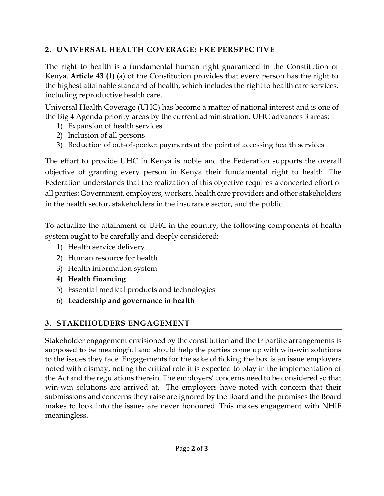## **2. UNIVERSAL HEALTH COVERAGE: FKE PERSPECTIVE**

The right to health is a fundamental human right guaranteed in the Constitution of Kenya. **Article 43 (1)** (a) of the Constitution provides that every person has the right to the highest attainable standard of health, which includes the right to health care services, including reproductive health care.

Universal Health Coverage (UHC) has become a matter of national interest and is one of the Big 4 Agenda priority areas by the current administration. UHC advances 3 areas;

- 1) Expansion of health services
- 2) Inclusion of all persons
- 3) Reduction of out-of-pocket payments at the point of accessing health services

The effort to provide UHC in Kenya is noble and the Federation supports the overall objective of granting every person in Kenya their fundamental right to health. The Federation understands that the realization of this objective requires a concerted effort of all parties: Government, employers, workers, health care providers and other stakeholders in the health sector, stakeholders in the insurance sector, and the public.

To actualize the attainment of UHC in the country, the following components of health system ought to be carefully and deeply considered:

- 1) Health service delivery
- 2) Human resource for health
- 3) Health information system
- **4) Health financing**
- 5) Essential medical products and technologies
- 6) **Leadership and governance in health**

## **3. STAKEHOLDERS ENGAGEMENT**

Stakeholder engagement envisioned by the constitution and the tripartite arrangements is supposed to be meaningful and should help the parties come up with win-win solutions to the issues they face. Engagements for the sake of ticking the box is an issue employers noted with dismay, noting the critical role it is expected to play in the implementation of the Act and the regulations therein. The employers' concerns need to be considered so that win-win solutions are arrived at. The employers have noted with concern that their submissions and concerns they raise are ignored by the Board and the promises the Board makes to look into the issues are never honoured. This makes engagement with NHIF meaningless.